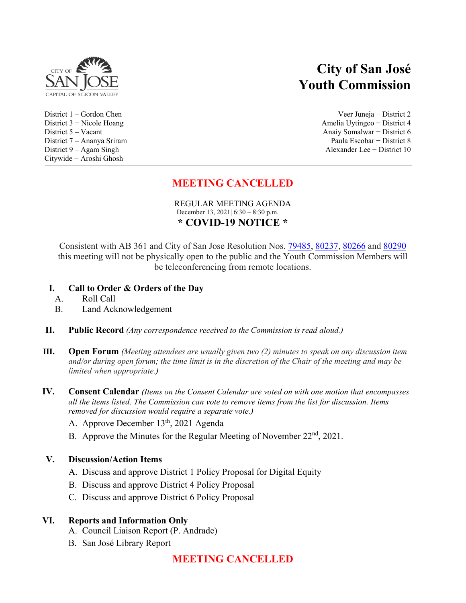

# Citywide − Aroshi Ghosh

# **City of San José Youth Commission**

District 1 – Gordon Chen Veer Juneja − District 2 District 3 − Nicole Hoang Amelia Uytingco − District 4 District 5 – Vacant Anaiy Somalwar − District 6 District 7 – Ananya Sriram Paula Escobar − District 8 District 9 – Agam Singh Alexander Lee − District 10

# **MEETING CANCELLED**

REGULAR MEETING AGENDA December 13, 2021| 6:30 – 8:30 p.m. **\* COVID-19 NOTICE \***

Consistent with AB 361 and City of San Jose Resolution Nos. [79485,](https://records.sanjoseca.gov/Resolutions/RES79485.pdf) [80237,](https://records.sanjoseca.gov/Resolutions/RES80237.pdf) [80266](https://records.sanjoseca.gov/Resolutions/RES80266.pdf) and [80290](https://records.sanjoseca.gov/Resolutions/RES80290.pdf) this meeting will not be physically open to the public and the Youth Commission Members will be teleconferencing from remote locations.

# **I. Call to Order & Orders of the Day**

- A. Roll Call
- B. Land Acknowledgement
- **II. Public Record** *(Any correspondence received to the Commission is read aloud.)*
- **III. Open Forum** *(Meeting attendees are usually given two (2) minutes to speak on any discussion item and/or during open forum; the time limit is in the discretion of the Chair of the meeting and may be limited when appropriate.)*
- **IV. Consent Calendar** *(Items on the Consent Calendar are voted on with one motion that encompasses all the items listed. The Commission can vote to remove items from the list for discussion. Items removed for discussion would require a separate vote.)*
	- A. Approve December 13<sup>th</sup>, 2021 Agenda
	- B. Approve the Minutes for the Regular Meeting of November  $22<sup>nd</sup>$ ,  $2021$ .

# **V. Discussion/Action Items**

- A. Discuss and approve District 1 Policy Proposal for Digital Equity
- B. Discuss and approve District 4 Policy Proposal
- C. Discuss and approve District 6 Policy Proposal

# **VI. Reports and Information Only**

- A. Council Liaison Report (P. Andrade)
- B. San José Library Report

# **MEETING CANCELLED**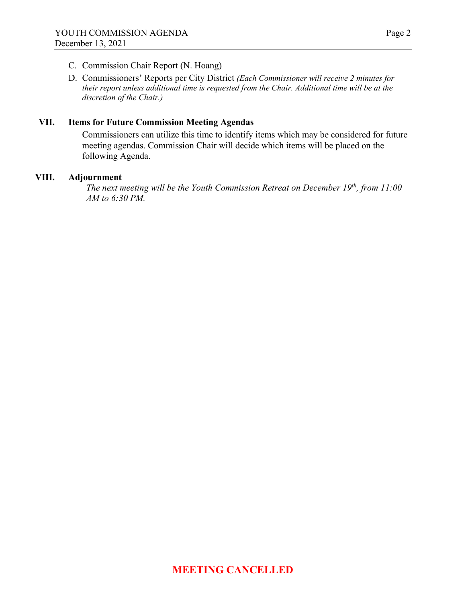- C. Commission Chair Report (N. Hoang)
- D. Commissioners' Reports per City District *(Each Commissioner will receive 2 minutes for their report unless additional time is requested from the Chair. Additional time will be at the discretion of the Chair.)*

# **VII. Items for Future Commission Meeting Agendas**

Commissioners can utilize this time to identify items which may be considered for future meeting agendas. Commission Chair will decide which items will be placed on the following Agenda.

## **VIII. Adjournment**

*The next meeting will be the Youth Commission Retreat on December 19th, from 11:00 AM to 6:30 PM.*